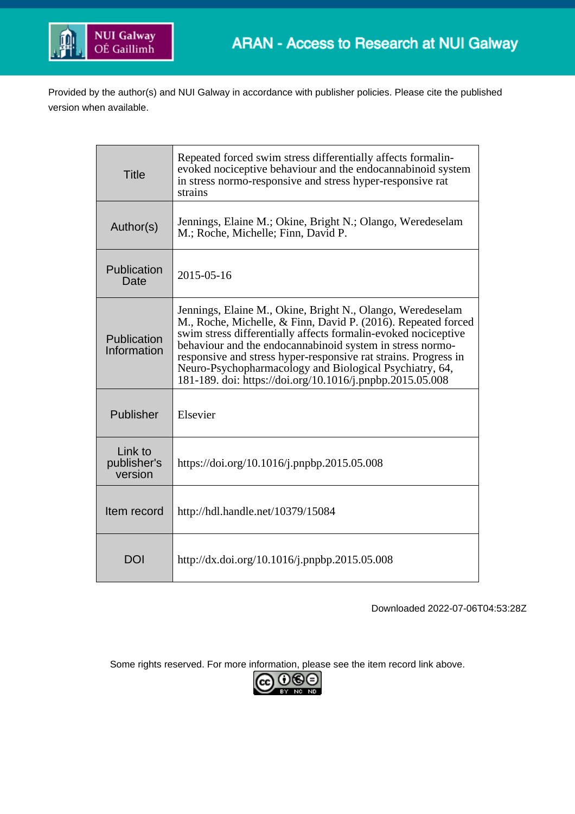

Provided by the author(s) and NUI Galway in accordance with publisher policies. Please cite the published version when available.

| <b>Title</b>                      | Repeated forced swim stress differentially affects formalin-<br>evoked nociceptive behaviour and the endocannabinoid system<br>in stress normo-responsive and stress hyper-responsive rat<br>strains                                                                                                                                                                                                                                                  |
|-----------------------------------|-------------------------------------------------------------------------------------------------------------------------------------------------------------------------------------------------------------------------------------------------------------------------------------------------------------------------------------------------------------------------------------------------------------------------------------------------------|
| Author(s)                         | Jennings, Elaine M.; Okine, Bright N.; Olango, Weredeselam<br>M.; Roche, Michelle; Finn, David P.                                                                                                                                                                                                                                                                                                                                                     |
| Publication<br>Date               | $2015 - 05 - 16$                                                                                                                                                                                                                                                                                                                                                                                                                                      |
| Publication<br>Information        | Jennings, Elaine M., Okine, Bright N., Olango, Weredeselam<br>M., Roche, Michelle, & Finn, David P. (2016). Repeated forced<br>swim stress differentially affects formalin-evoked nociceptive<br>behaviour and the endocannabinoid system in stress normo-<br>responsive and stress hyper-responsive rat strains. Progress in<br>Neuro-Psychopharmacology and Biological Psychiatry, 64,<br>181-189. doi: https://doi.org/10.1016/j.pnpbp.2015.05.008 |
| Publisher                         | Elsevier                                                                                                                                                                                                                                                                                                                                                                                                                                              |
| Link to<br>publisher's<br>version | https://doi.org/10.1016/j.pnpbp.2015.05.008                                                                                                                                                                                                                                                                                                                                                                                                           |
| Item record                       | http://hdl.handle.net/10379/15084                                                                                                                                                                                                                                                                                                                                                                                                                     |
| <b>DOI</b>                        | http://dx.doi.org/10.1016/j.pnpbp.2015.05.008                                                                                                                                                                                                                                                                                                                                                                                                         |

Downloaded 2022-07-06T04:53:28Z

Some rights reserved. For more information, please see the item record link above.

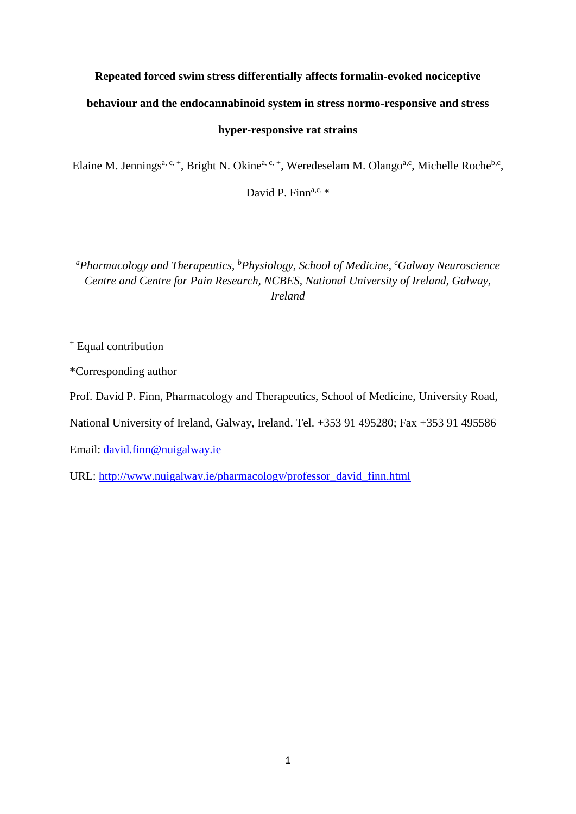# **Repeated forced swim stress differentially affects formalin-evoked nociceptive**

# **behaviour and the endocannabinoid system in stress normo-responsive and stress**

## **hyper-responsive rat strains**

Elaine M. Jennings<sup>a, c, +</sup>, Bright N. Okine<sup>a, c, +</sup>, Weredeselam M. Olango<sup>a,c</sup>, Michelle Roche<sup>b,c</sup>,

David P. Finna,c,  $*$ 

*<sup>a</sup>Pharmacology and Therapeutics, <sup>b</sup>Physiology, School of Medicine, <sup>c</sup>Galway Neuroscience Centre and Centre for Pain Research, NCBES, National University of Ireland, Galway, Ireland*

<sup>+</sup> Equal contribution

\*Corresponding author

Prof. David P. Finn, Pharmacology and Therapeutics, School of Medicine, University Road,

National University of Ireland, Galway, Ireland. Tel. +353 91 495280; Fax +353 91 495586

Email: [david.finn@nuigalway.ie](mailto:david.finn@nuigalway.ie)

URL: [http://www.nuigalway.ie/pharmacology/professor\\_david\\_finn.html](http://www.nuigalway.ie/pharmacology/professor_david_finn.html)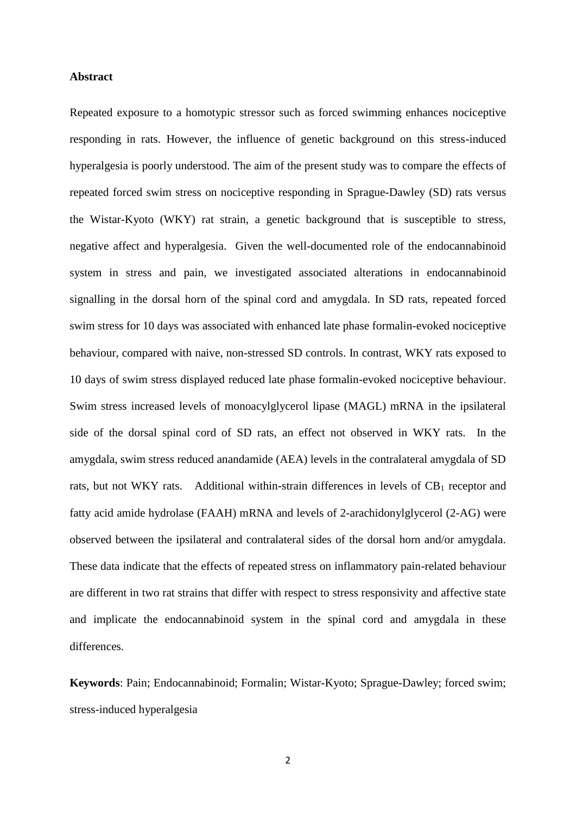## **Abstract**

Repeated exposure to a homotypic stressor such as forced swimming enhances nociceptive responding in rats. However, the influence of genetic background on this stress-induced hyperalgesia is poorly understood. The aim of the present study was to compare the effects of repeated forced swim stress on nociceptive responding in Sprague-Dawley (SD) rats versus the Wistar-Kyoto (WKY) rat strain, a genetic background that is susceptible to stress, negative affect and hyperalgesia. Given the well-documented role of the endocannabinoid system in stress and pain, we investigated associated alterations in endocannabinoid signalling in the dorsal horn of the spinal cord and amygdala. In SD rats, repeated forced swim stress for 10 days was associated with enhanced late phase formalin-evoked nociceptive behaviour, compared with naive, non-stressed SD controls. In contrast, WKY rats exposed to 10 days of swim stress displayed reduced late phase formalin-evoked nociceptive behaviour. Swim stress increased levels of monoacylglycerol lipase (MAGL) mRNA in the ipsilateral side of the dorsal spinal cord of SD rats, an effect not observed in WKY rats. In the amygdala, swim stress reduced anandamide (AEA) levels in the contralateral amygdala of SD rats, but not WKY rats. Additional within-strain differences in levels of  $CB<sub>1</sub>$  receptor and fatty acid amide hydrolase (FAAH) mRNA and levels of 2-arachidonylglycerol (2-AG) were observed between the ipsilateral and contralateral sides of the dorsal horn and/or amygdala. These data indicate that the effects of repeated stress on inflammatory pain-related behaviour are different in two rat strains that differ with respect to stress responsivity and affective state and implicate the endocannabinoid system in the spinal cord and amygdala in these differences.

**Keywords**: Pain; Endocannabinoid; Formalin; Wistar-Kyoto; Sprague-Dawley; forced swim; stress-induced hyperalgesia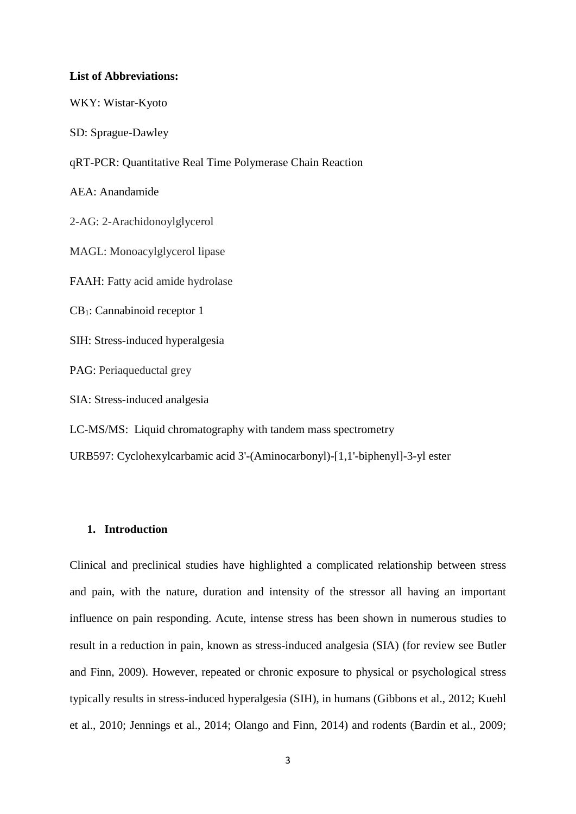#### **List of Abbreviations:**

WKY: Wistar-Kyoto

SD: Sprague-Dawley

qRT-PCR: Quantitative Real Time Polymerase Chain Reaction

AEA: Anandamide

2-AG: 2-Arachidonoylglycerol

MAGL: Monoacylglycerol lipase

FAAH: Fatty acid amide hydrolase

CB1: Cannabinoid receptor 1

SIH: Stress-induced hyperalgesia

PAG: Periaqueductal grey

SIA: Stress-induced analgesia

LC-MS/MS: Liquid chromatography with tandem mass spectrometry

URB597: Cyclohexylcarbamic acid 3'-(Aminocarbonyl)-[1,1'-biphenyl]-3-yl ester

# **1. Introduction**

Clinical and preclinical studies have highlighted a complicated relationship between stress and pain, with the nature, duration and intensity of the stressor all having an important influence on pain responding. Acute, intense stress has been shown in numerous studies to result in a reduction in pain, known as stress-induced analgesia (SIA) (for review see Butler and Finn, 2009). However, repeated or chronic exposure to physical or psychological stress typically results in stress-induced hyperalgesia (SIH), in humans (Gibbons et al., 2012; Kuehl et al., 2010; Jennings et al., 2014; Olango and Finn, 2014) and rodents (Bardin et al., 2009;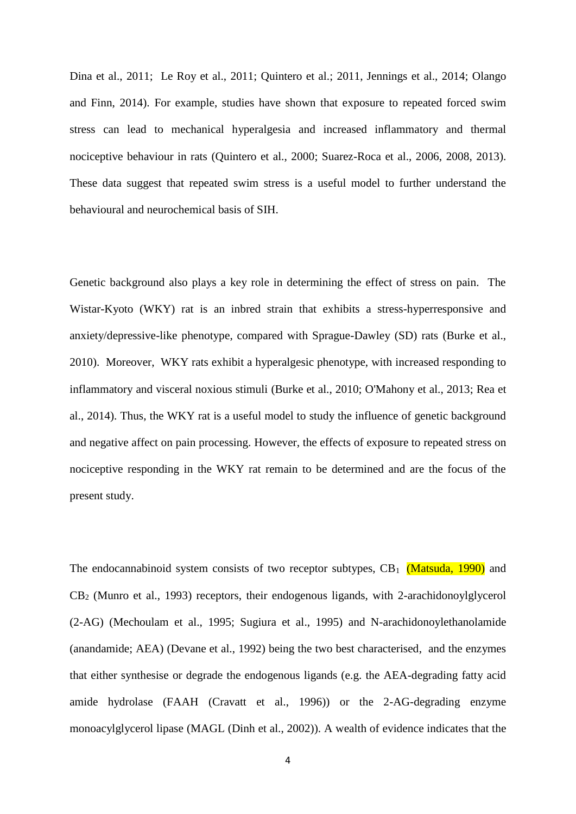Dina et al., 2011; Le Roy et al., 2011; Quintero et al.; 2011, Jennings et al., 2014; Olango and Finn, 2014). For example, studies have shown that exposure to repeated forced swim stress can lead to mechanical hyperalgesia and increased inflammatory and thermal nociceptive behaviour in rats (Quintero et al., 2000; Suarez-Roca et al., 2006, 2008, 2013). These data suggest that repeated swim stress is a useful model to further understand the behavioural and neurochemical basis of SIH.

Genetic background also plays a key role in determining the effect of stress on pain. The Wistar-Kyoto (WKY) rat is an inbred strain that exhibits a stress-hyperresponsive and anxiety/depressive-like phenotype, compared with Sprague-Dawley (SD) rats (Burke et al., 2010). Moreover, WKY rats exhibit a hyperalgesic phenotype, with increased responding to inflammatory and visceral noxious stimuli (Burke et al., 2010; O'Mahony et al., 2013; Rea et al., 2014). Thus, the WKY rat is a useful model to study the influence of genetic background and negative affect on pain processing. However, the effects of exposure to repeated stress on nociceptive responding in the WKY rat remain to be determined and are the focus of the present study.

The endocannabinoid system consists of two receptor subtypes,  $CB_1$  (Matsuda, 1990) and CB<sup>2</sup> (Munro et al., 1993) receptors, their endogenous ligands, with 2-arachidonoylglycerol (2-AG) (Mechoulam et al., 1995; Sugiura et al., 1995) and N-arachidonoylethanolamide (anandamide; AEA) (Devane et al., 1992) being the two best characterised, and the enzymes that either synthesise or degrade the endogenous ligands (e.g. the AEA-degrading fatty acid amide hydrolase (FAAH (Cravatt et al., 1996)) or the 2-AG-degrading enzyme monoacylglycerol lipase (MAGL (Dinh et al., 2002)). A wealth of evidence indicates that the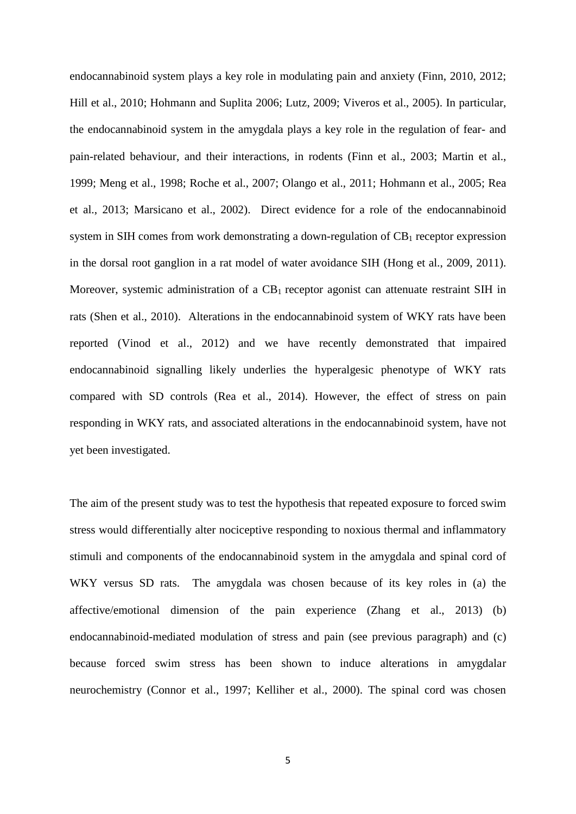endocannabinoid system plays a key role in modulating pain and anxiety (Finn, 2010, 2012; Hill et al., 2010; Hohmann and Suplita 2006; Lutz, 2009; Viveros et al., 2005). In particular, the endocannabinoid system in the amygdala plays a key role in the regulation of fear- and pain-related behaviour, and their interactions, in rodents (Finn et al., 2003; Martin et al., 1999; Meng et al., 1998; Roche et al., 2007; Olango et al., 2011; Hohmann et al., 2005; Rea et al., 2013; Marsicano et al., 2002). Direct evidence for a role of the endocannabinoid system in SIH comes from work demonstrating a down-regulation of  $CB<sub>1</sub>$  receptor expression in the dorsal root ganglion in a rat model of water avoidance SIH (Hong et al., 2009, 2011). Moreover, systemic administration of a  $CB_1$  receptor agonist can attenuate restraint SIH in rats (Shen et al., 2010). Alterations in the endocannabinoid system of WKY rats have been reported (Vinod et al., 2012) and we have recently demonstrated that impaired endocannabinoid signalling likely underlies the hyperalgesic phenotype of WKY rats compared with SD controls (Rea et al., 2014). However, the effect of stress on pain responding in WKY rats, and associated alterations in the endocannabinoid system, have not yet been investigated.

The aim of the present study was to test the hypothesis that repeated exposure to forced swim stress would differentially alter nociceptive responding to noxious thermal and inflammatory stimuli and components of the endocannabinoid system in the amygdala and spinal cord of WKY versus SD rats. The amygdala was chosen because of its key roles in (a) the affective/emotional dimension of the pain experience (Zhang et al., 2013) (b) endocannabinoid-mediated modulation of stress and pain (see previous paragraph) and (c) because forced swim stress has been shown to induce alterations in amygdalar neurochemistry (Connor et al., 1997; Kelliher et al., 2000). The spinal cord was chosen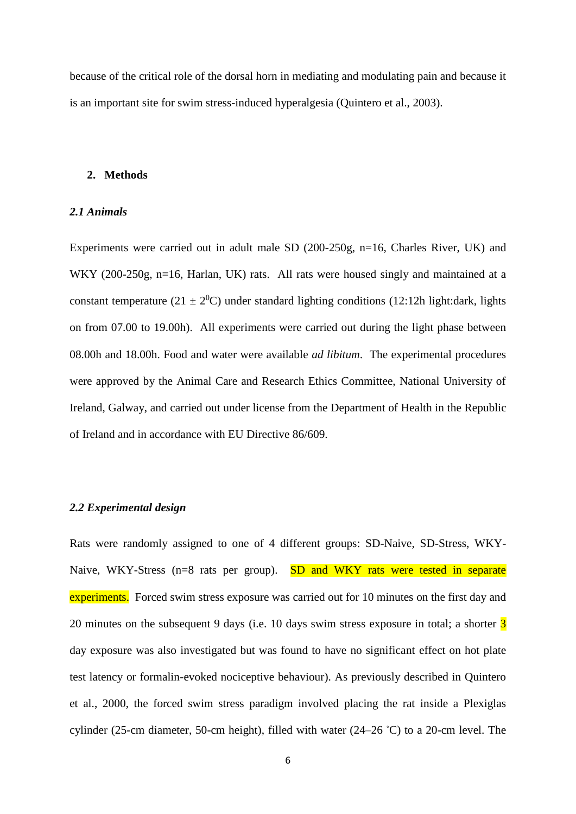because of the critical role of the dorsal horn in mediating and modulating pain and because it is an important site for swim stress-induced hyperalgesia (Quintero et al., 2003).

## **2. Methods**

#### *2.1 Animals*

Experiments were carried out in adult male SD (200-250g, n=16, Charles River, UK) and WKY (200-250g, n=16, Harlan, UK) rats. All rats were housed singly and maintained at a constant temperature (21  $\pm$  2<sup>0</sup>C) under standard lighting conditions (12:12h light:dark, lights on from 07.00 to 19.00h). All experiments were carried out during the light phase between 08.00h and 18.00h. Food and water were available *ad libitum*. The experimental procedures were approved by the Animal Care and Research Ethics Committee, National University of Ireland, Galway, and carried out under license from the Department of Health in the Republic of Ireland and in accordance with EU Directive 86/609.

#### *2.2 Experimental design*

Rats were randomly assigned to one of 4 different groups: SD-Naive, SD-Stress, WKY-Naive, WKY-Stress ( $n=8$  rats per group). SD and WKY rats were tested in separate experiments. Forced swim stress exposure was carried out for 10 minutes on the first day and 20 minutes on the subsequent 9 days (i.e. 10 days swim stress exposure in total; a shorter  $\overline{3}$ day exposure was also investigated but was found to have no significant effect on hot plate test latency or formalin-evoked nociceptive behaviour). As previously described in Quintero et al., 2000, the forced swim stress paradigm involved placing the rat inside a Plexiglas cylinder (25-cm diameter, 50-cm height), filled with water (24–26 ◦C) to a 20-cm level. The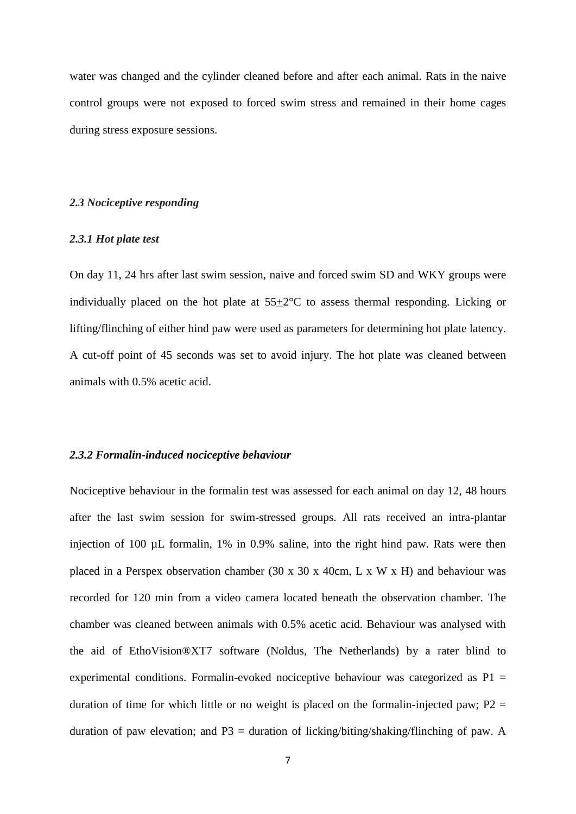water was changed and the cylinder cleaned before and after each animal. Rats in the naive control groups were not exposed to forced swim stress and remained in their home cages during stress exposure sessions.

## *2.3 Nociceptive responding*

#### *2.3.1 Hot plate test*

On day 11, 24 hrs after last swim session, naive and forced swim SD and WKY groups were individually placed on the hot plate at 55+2°C to assess thermal responding. Licking or lifting/flinching of either hind paw were used as parameters for determining hot plate latency. A cut-off point of 45 seconds was set to avoid injury. The hot plate was cleaned between animals with 0.5% acetic acid.

## *2.3.2 Formalin-induced nociceptive behaviour*

Nociceptive behaviour in the formalin test was assessed for each animal on day 12, 48 hours after the last swim session for swim-stressed groups. All rats received an intra-plantar injection of 100 µL formalin, 1% in 0.9% saline, into the right hind paw. Rats were then placed in a Perspex observation chamber (30 x 30 x 40cm, L x W x H) and behaviour was recorded for 120 min from a video camera located beneath the observation chamber. The chamber was cleaned between animals with 0.5% acetic acid. Behaviour was analysed with the aid of EthoVision®XT7 software (Noldus, The Netherlands) by a rater blind to experimental conditions. Formalin-evoked nociceptive behaviour was categorized as  $P1 =$ duration of time for which little or no weight is placed on the formalin-injected paw;  $P2 =$ duration of paw elevation; and  $P3$  = duration of licking/biting/shaking/flinching of paw. A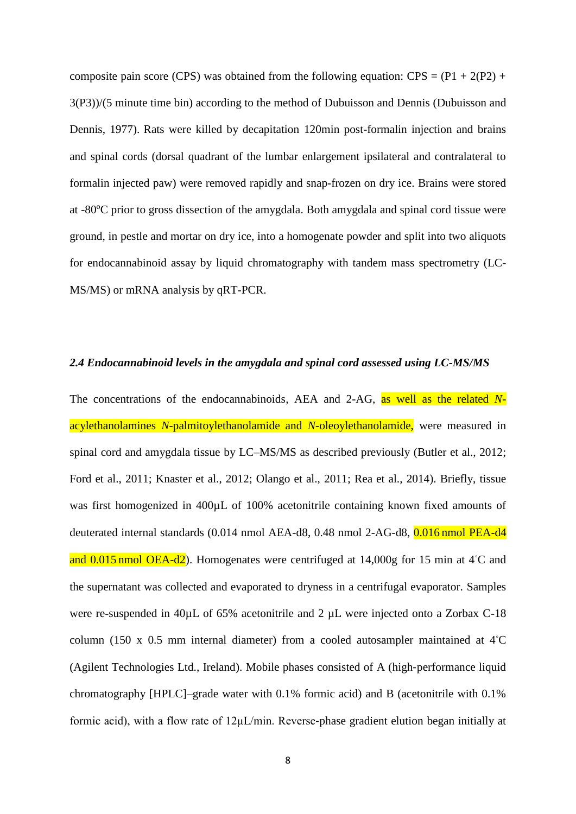composite pain score (CPS) was obtained from the following equation:  $CPS = (P1 + 2(P2) +$ 3(P3))/(5 minute time bin) according to the method of Dubuisson and Dennis (Dubuisson and Dennis, 1977). Rats were killed by decapitation 120min post-formalin injection and brains and spinal cords (dorsal quadrant of the lumbar enlargement ipsilateral and contralateral to formalin injected paw) were removed rapidly and snap-frozen on dry ice. Brains were stored at  $-80^{\circ}$ C prior to gross dissection of the amygdala. Both amygdala and spinal cord tissue were ground, in pestle and mortar on dry ice, into a homogenate powder and split into two aliquots for endocannabinoid assay by liquid chromatography with tandem mass spectrometry (LC-MS/MS) or mRNA analysis by qRT-PCR.

#### *2.4 Endocannabinoid levels in the amygdala and spinal cord assessed using LC-MS/MS*

The concentrations of the endocannabinoids, AEA and 2-AG, as well as the related *N*acylethanolamines *N-*palmitoylethanolamide and *N*-oleoylethanolamide, were measured in spinal cord and amygdala tissue by LC–MS/MS as described previously (Butler et al., 2012; Ford et al., 2011; Knaster et al., 2012; Olango et al., 2011; Rea et al., 2014). Briefly, tissue was first homogenized in 400µL of 100% acetonitrile containing known fixed amounts of deuterated internal standards (0.014 nmol AEA-d8, 0.48 nmol 2-AG-d8, 0.016 nmol PEA-d4 and 0.015 nmol OEA-d2). Homogenates were centrifuged at 14,000g for 15 min at 4◦C and the supernatant was collected and evaporated to dryness in a centrifugal evaporator. Samples were re-suspended in 40µL of 65% acetonitrile and 2 µL were injected onto a Zorbax C-18 column (150 x 0.5 mm internal diameter) from a cooled autosampler maintained at 4◦C (Agilent Technologies Ltd., Ireland). Mobile phases consisted of A (high‐performance liquid chromatography [HPLC]–grade water with 0.1% formic acid) and B (acetonitrile with 0.1% formic acid), with a flow rate of 12μL/min. Reverse‐phase gradient elution began initially at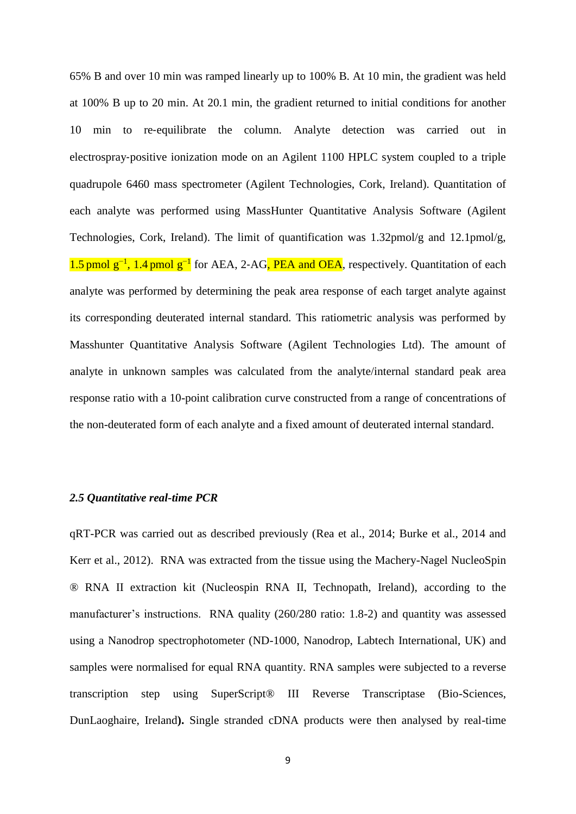65% B and over 10 min was ramped linearly up to 100% B. At 10 min, the gradient was held at 100% B up to 20 min. At 20.1 min, the gradient returned to initial conditions for another 10 min to re‐equilibrate the column. Analyte detection was carried out in electrospray‐positive ionization mode on an Agilent 1100 HPLC system coupled to a triple quadrupole 6460 mass spectrometer (Agilent Technologies, Cork, Ireland). Quantitation of each analyte was performed using MassHunter Quantitative Analysis Software (Agilent Technologies, Cork, Ireland). The limit of quantification was 1.32pmol/g and 12.1pmol/g, 1.5 pmol g<sup>-1</sup>, 1.4 pmol g<sup>-1</sup> for AEA, 2-AG, PEA and OEA, respectively. Quantitation of each analyte was performed by determining the peak area response of each target analyte against its corresponding deuterated internal standard. This ratiometric analysis was performed by Masshunter Quantitative Analysis Software (Agilent Technologies Ltd). The amount of analyte in unknown samples was calculated from the analyte/internal standard peak area response ratio with a 10-point calibration curve constructed from a range of concentrations of the non-deuterated form of each analyte and a fixed amount of deuterated internal standard.

#### *2.5 Quantitative real-time PCR*

qRT-PCR was carried out as described previously (Rea et al., 2014; Burke et al., 2014 and Kerr et al., 2012). RNA was extracted from the tissue using the Machery-Nagel NucleoSpin ® RNA II extraction kit (Nucleospin RNA II, Technopath, Ireland), according to the manufacturer's instructions. RNA quality (260/280 ratio: 1.8-2) and quantity was assessed using a Nanodrop spectrophotometer (ND-1000, Nanodrop, Labtech International, UK) and samples were normalised for equal RNA quantity. RNA samples were subjected to a reverse transcription step using SuperScript® III Reverse Transcriptase (Bio-Sciences, DunLaoghaire, Ireland**).** Single stranded cDNA products were then analysed by real-time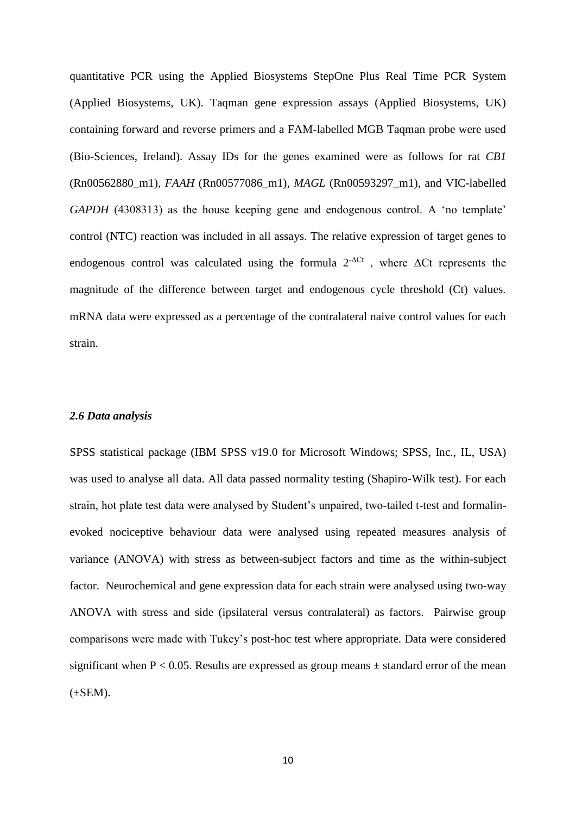quantitative PCR using the Applied Biosystems StepOne Plus Real Time PCR System (Applied Biosystems, UK). Taqman gene expression assays (Applied Biosystems, UK) containing forward and reverse primers and a FAM-labelled MGB Taqman probe were used (Bio-Sciences, Ireland). Assay IDs for the genes examined were as follows for rat *CB1*  (Rn00562880\_m1), *FAAH* (Rn00577086\_m1), *MAGL* (Rn00593297\_m1), and VIC-labelled *GAPDH* (4308313) as the house keeping gene and endogenous control. A 'no template' control (NTC) reaction was included in all assays. The relative expression of target genes to endogenous control was calculated using the formula  $2^{-\Delta Ct}$ , where  $\Delta Ct$  represents the magnitude of the difference between target and endogenous cycle threshold (Ct) values. mRNA data were expressed as a percentage of the contralateral naive control values for each strain.

#### *2.6 Data analysis*

SPSS statistical package (IBM SPSS v19.0 for Microsoft Windows; SPSS, Inc., IL, USA) was used to analyse all data. All data passed normality testing (Shapiro-Wilk test). For each strain, hot plate test data were analysed by Student's unpaired, two-tailed t-test and formalinevoked nociceptive behaviour data were analysed using repeated measures analysis of variance (ANOVA) with stress as between-subject factors and time as the within-subject factor. Neurochemical and gene expression data for each strain were analysed using two-way ANOVA with stress and side (ipsilateral versus contralateral) as factors. Pairwise group comparisons were made with Tukey's post-hoc test where appropriate. Data were considered significant when  $P < 0.05$ . Results are expressed as group means  $\pm$  standard error of the mean  $(\pm$ SEM).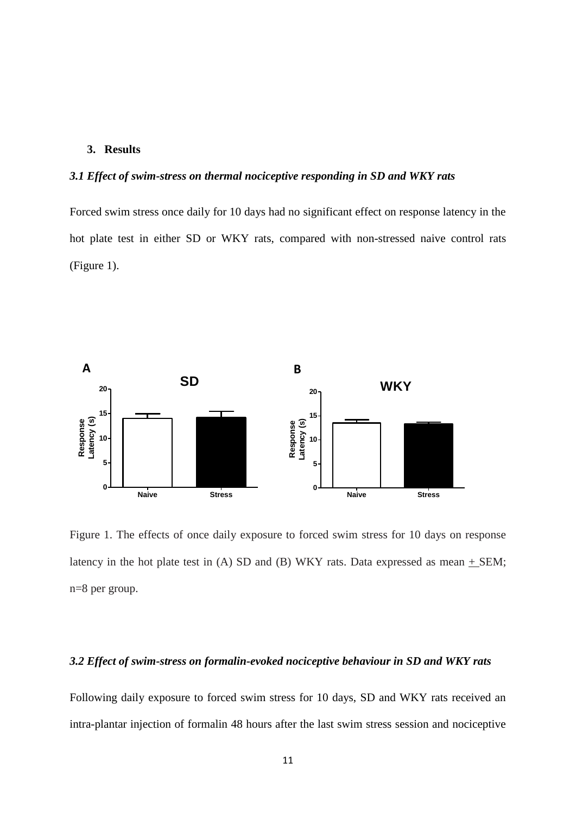## **3. Results**

# *3.1 Effect of swim-stress on thermal nociceptive responding in SD and WKY rats*

Forced swim stress once daily for 10 days had no significant effect on response latency in the hot plate test in either SD or WKY rats, compared with non-stressed naive control rats (Figure 1).



Figure 1. The effects of once daily exposure to forced swim stress for 10 days on response latency in the hot plate test in (A) SD and (B) WKY rats. Data expressed as mean  $+$  SEM; n=8 per group.

## *3.2 Effect of swim-stress on formalin-evoked nociceptive behaviour in SD and WKY rats*

Following daily exposure to forced swim stress for 10 days, SD and WKY rats received an intra-plantar injection of formalin 48 hours after the last swim stress session and nociceptive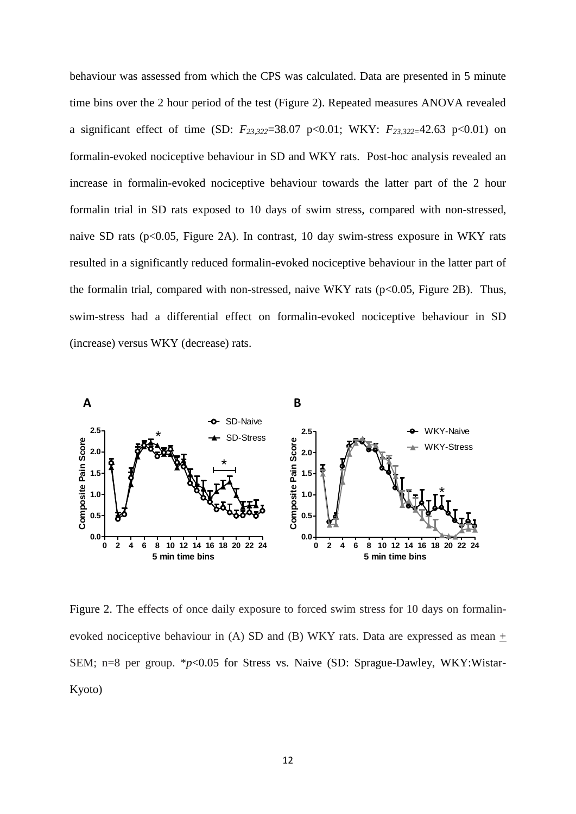behaviour was assessed from which the CPS was calculated. Data are presented in 5 minute time bins over the 2 hour period of the test (Figure 2). Repeated measures ANOVA revealed a significant effect of time (SD: *F23,322*=38.07 p<0.01; WKY: *F23,322=*42.63 p<0.01) on formalin-evoked nociceptive behaviour in SD and WKY rats. Post-hoc analysis revealed an increase in formalin-evoked nociceptive behaviour towards the latter part of the 2 hour formalin trial in SD rats exposed to 10 days of swim stress, compared with non-stressed, naive SD rats (p<0.05, Figure 2A). In contrast, 10 day swim-stress exposure in WKY rats resulted in a significantly reduced formalin-evoked nociceptive behaviour in the latter part of the formalin trial, compared with non-stressed, naive WKY rats  $(p<0.05$ , Figure 2B). Thus, swim-stress had a differential effect on formalin-evoked nociceptive behaviour in SD (increase) versus WKY (decrease) rats.



Figure 2. The effects of once daily exposure to forced swim stress for 10 days on formalinevoked nociceptive behaviour in (A) SD and (B) WKY rats. Data are expressed as mean + SEM; n=8 per group. \*p<0.05 for Stress vs. Naive (SD: Sprague-Dawley, WKY:Wistar-Kyoto)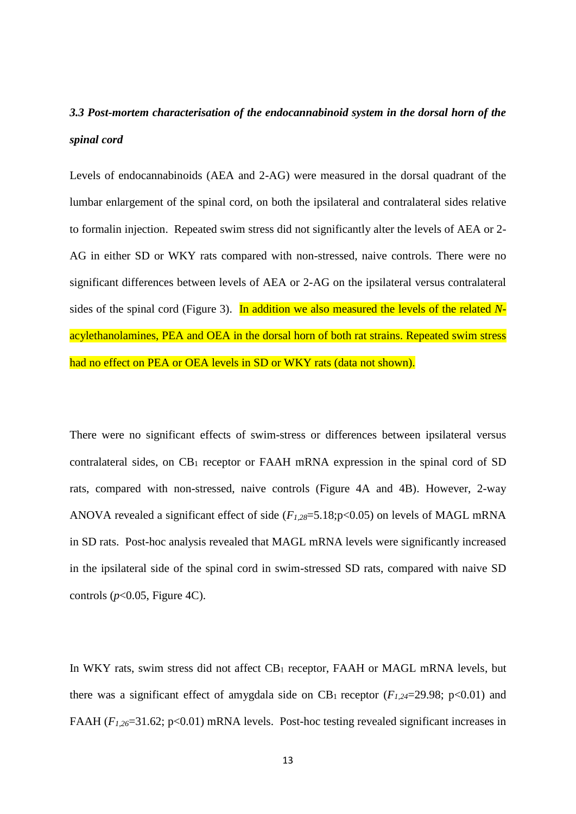# *3.3 Post-mortem characterisation of the endocannabinoid system in the dorsal horn of the spinal cord*

Levels of endocannabinoids (AEA and 2-AG) were measured in the dorsal quadrant of the lumbar enlargement of the spinal cord, on both the ipsilateral and contralateral sides relative to formalin injection. Repeated swim stress did not significantly alter the levels of AEA or 2- AG in either SD or WKY rats compared with non-stressed, naive controls. There were no significant differences between levels of AEA or 2-AG on the ipsilateral versus contralateral sides of the spinal cord (Figure 3). In addition we also measured the levels of the related *N*acylethanolamines, PEA and OEA in the dorsal horn of both rat strains. Repeated swim stress had no effect on PEA or OEA levels in SD or WKY rats (data not shown).

There were no significant effects of swim-stress or differences between ipsilateral versus contralateral sides, on  $CB_1$  receptor or FAAH mRNA expression in the spinal cord of SD rats, compared with non-stressed, naive controls (Figure 4A and 4B). However, 2-way ANOVA revealed a significant effect of side (*F1,28*=5.18;p<0.05) on levels of MAGL mRNA in SD rats. Post-hoc analysis revealed that MAGL mRNA levels were significantly increased in the ipsilateral side of the spinal cord in swim-stressed SD rats, compared with naive SD controls ( $p$ <0.05, Figure 4C).

In WKY rats, swim stress did not affect CB<sub>1</sub> receptor, FAAH or MAGL mRNA levels, but there was a significant effect of amygdala side on  $CB_1$  receptor ( $F_{1,24}=29.98$ ; p<0.01) and FAAH (*F1,26*=31.62; p<0.01) mRNA levels. Post-hoc testing revealed significant increases in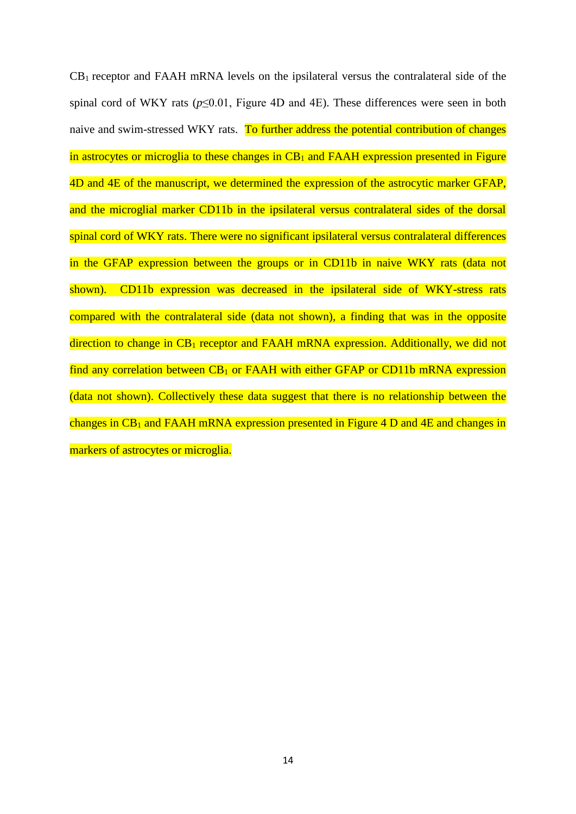$CB<sub>1</sub>$  receptor and FAAH mRNA levels on the ipsilateral versus the contralateral side of the spinal cord of WKY rats  $(p<0.01$ , Figure 4D and 4E). These differences were seen in both naive and swim-stressed WKY rats. To further address the potential contribution of changes in astrocytes or microglia to these changes in  $CB_1$  and FAAH expression presented in Figure 4D and 4E of the manuscript, we determined the expression of the astrocytic marker GFAP, and the microglial marker CD11b in the ipsilateral versus contralateral sides of the dorsal spinal cord of WKY rats. There were no significant ipsilateral versus contralateral differences in the GFAP expression between the groups or in CD11b in naive WKY rats (data not shown). CD11b expression was decreased in the ipsilateral side of WKY-stress rats compared with the contralateral side (data not shown), a finding that was in the opposite direction to change in  $CB_1$  receptor and FAAH mRNA expression. Additionally, we did not find any correlation between  $CB_1$  or FAAH with either GFAP or CD11b mRNA expression (data not shown). Collectively these data suggest that there is no relationship between the changes in  $CB_1$  and FAAH mRNA expression presented in Figure 4 D and 4E and changes in markers of astrocytes or microglia.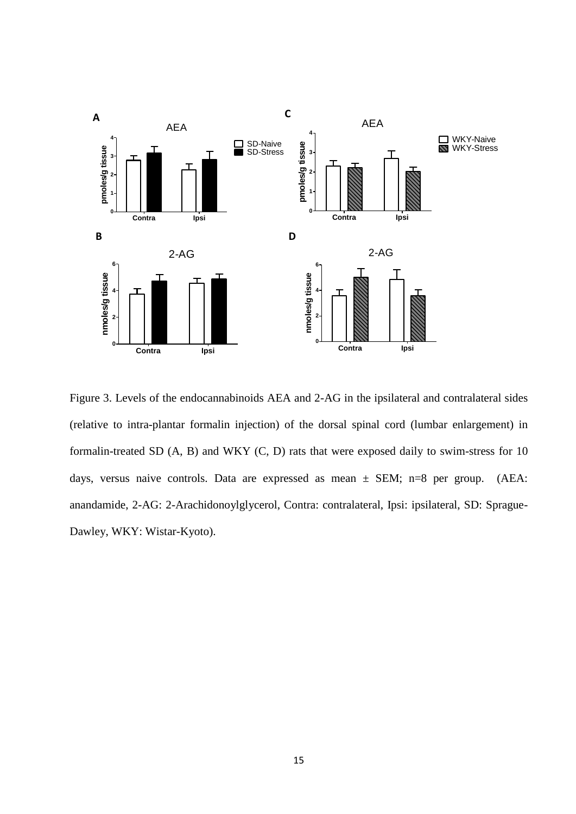

Figure 3. Levels of the endocannabinoids AEA and 2-AG in the ipsilateral and contralateral sides (relative to intra-plantar formalin injection) of the dorsal spinal cord (lumbar enlargement) in formalin-treated SD (A, B) and WKY (C, D) rats that were exposed daily to swim-stress for 10 days, versus naive controls. Data are expressed as mean  $\pm$  SEM; n=8 per group. (AEA: anandamide, 2-AG: 2-Arachidonoylglycerol, Contra: contralateral, Ipsi: ipsilateral, SD: Sprague-Dawley, WKY: Wistar-Kyoto).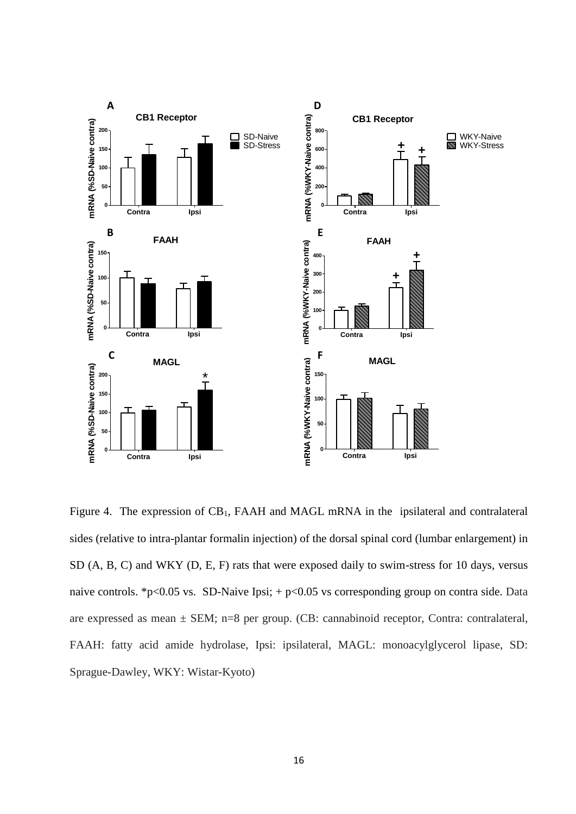

Figure 4. The expression of CB<sub>1</sub>, FAAH and MAGL mRNA in the ipsilateral and contralateral sides (relative to intra-plantar formalin injection) of the dorsal spinal cord (lumbar enlargement) in SD (A, B, C) and WKY (D, E, F) rats that were exposed daily to swim-stress for 10 days, versus naive controls. \*p<0.05 vs. SD-Naive Ipsi;  $+$  p<0.05 vs corresponding group on contra side. Data are expressed as mean  $\pm$  SEM; n=8 per group. (CB: cannabinoid receptor, Contra: contralateral, FAAH: fatty acid amide hydrolase, Ipsi: ipsilateral, MAGL: monoacylglycerol lipase, SD: Sprague-Dawley, WKY: Wistar-Kyoto)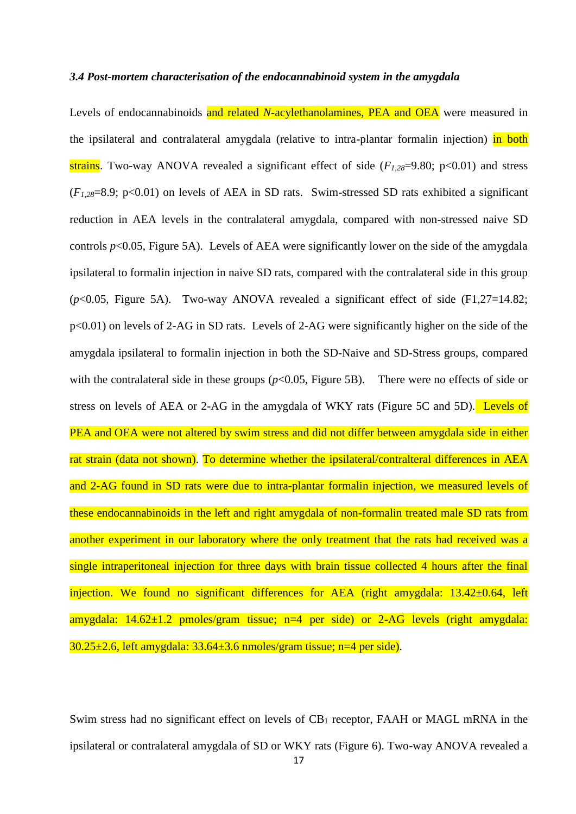#### *3.4 Post-mortem characterisation of the endocannabinoid system in the amygdala*

Levels of endocannabinoids and related *N*-acylethanolamines, PEA and OEA were measured in the ipsilateral and contralateral amygdala (relative to intra-plantar formalin injection) in both strains. Two-way ANOVA revealed a significant effect of side (*F1,28*=9.80; p<0.01) and stress (*F1,28*=8.9; p<0.01) on levels of AEA in SD rats. Swim-stressed SD rats exhibited a significant reduction in AEA levels in the contralateral amygdala, compared with non-stressed naive SD controls  $p<0.05$ , Figure 5A). Levels of AEA were significantly lower on the side of the amygdala ipsilateral to formalin injection in naive SD rats, compared with the contralateral side in this group (*p*<0.05, Figure 5A). Two-way ANOVA revealed a significant effect of side (F1,27=14.82; p<0.01) on levels of 2-AG in SD rats. Levels of 2-AG were significantly higher on the side of the amygdala ipsilateral to formalin injection in both the SD-Naive and SD-Stress groups, compared with the contralateral side in these groups  $(p<0.05$ , Figure 5B). There were no effects of side or stress on levels of AEA or 2-AG in the amygdala of WKY rats (Figure 5C and 5D). Levels of PEA and OEA were not altered by swim stress and did not differ between amygdala side in either rat strain (data not shown). To determine whether the ipsilateral/contralteral differences in AEA and 2-AG found in SD rats were due to intra-plantar formalin injection, we measured levels of these endocannabinoids in the left and right amygdala of non-formalin treated male SD rats from another experiment in our laboratory where the only treatment that the rats had received was a single intraperitoneal injection for three days with brain tissue collected 4 hours after the final injection. We found no significant differences for AEA (right amygdala: 13.42±0.64, left amygdala:  $14.62 \pm 1.2$  pmoles/gram tissue;  $n=4$  per side) or 2-AG levels (right amygdala:  $30.25\pm2.6$ , left amygdala:  $33.64\pm3.6$  nmoles/gram tissue; n=4 per side).

Swim stress had no significant effect on levels of  $CB_1$  receptor, FAAH or MAGL mRNA in the ipsilateral or contralateral amygdala of SD or WKY rats (Figure 6). Two-way ANOVA revealed a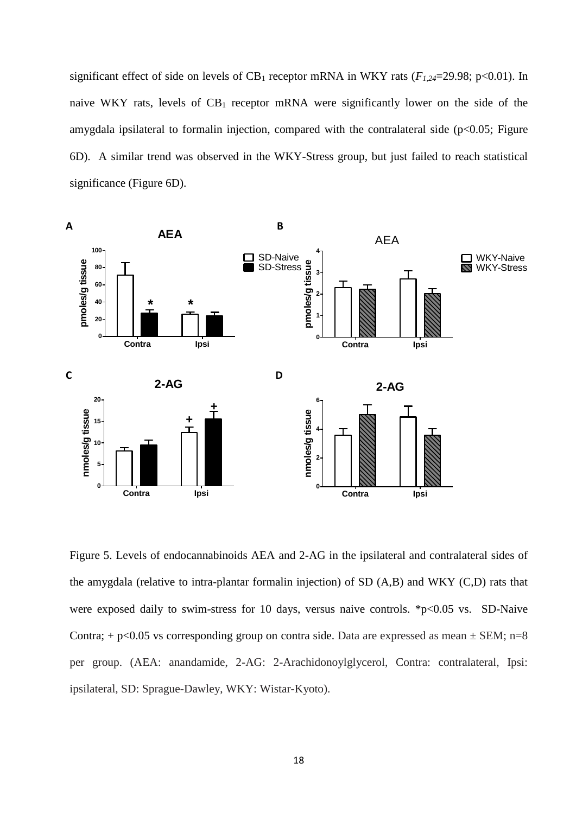significant effect of side on levels of  $CB_1$  receptor mRNA in WKY rats ( $F_{1,24}=29.98$ ; p<0.01). In naive WKY rats, levels of  $CB_1$  receptor mRNA were significantly lower on the side of the amygdala ipsilateral to formalin injection, compared with the contralateral side ( $p<0.05$ ; Figure 6D). A similar trend was observed in the WKY-Stress group, but just failed to reach statistical significance (Figure 6D).



Figure 5. Levels of endocannabinoids AEA and 2-AG in the ipsilateral and contralateral sides of the amygdala (relative to intra-plantar formalin injection) of SD (A,B) and WKY (C,D) rats that were exposed daily to swim-stress for 10 days, versus naive controls. \*p<0.05 vs. SD-Naive Contra;  $+$  p<0.05 vs corresponding group on contra side. Data are expressed as mean  $\pm$  SEM; n=8 per group. (AEA: anandamide, 2-AG: 2-Arachidonoylglycerol, Contra: contralateral, Ipsi: ipsilateral, SD: Sprague-Dawley, WKY: Wistar-Kyoto).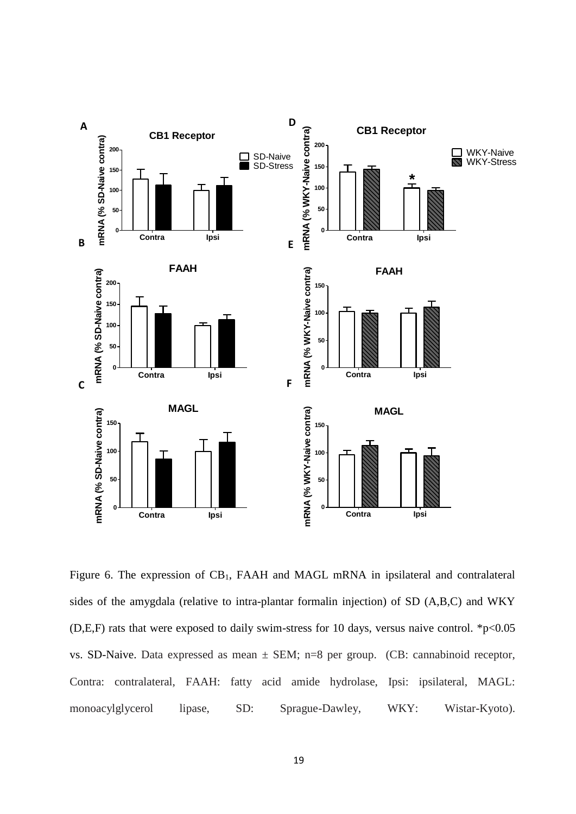

Figure 6. The expression of CB1, FAAH and MAGL mRNA in ipsilateral and contralateral sides of the amygdala (relative to intra-plantar formalin injection) of SD (A,B,C) and WKY (D,E,F) rats that were exposed to daily swim-stress for 10 days, versus naive control.  $*p<0.05$ vs. SD-Naive. Data expressed as mean  $\pm$  SEM; n=8 per group. (CB: cannabinoid receptor, Contra: contralateral, FAAH: fatty acid amide hydrolase, Ipsi: ipsilateral, MAGL: monoacylglycerol lipase, SD: Sprague-Dawley, WKY: Wistar-Kyoto).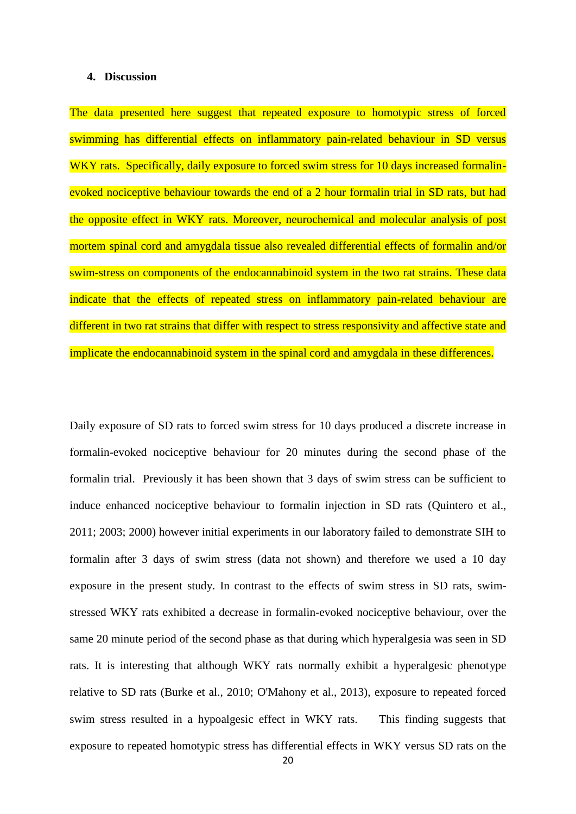#### **4. Discussion**

The data presented here suggest that repeated exposure to homotypic stress of forced swimming has differential effects on inflammatory pain-related behaviour in SD versus WKY rats. Specifically, daily exposure to forced swim stress for 10 days increased formalinevoked nociceptive behaviour towards the end of a 2 hour formalin trial in SD rats, but had the opposite effect in WKY rats. Moreover, neurochemical and molecular analysis of post mortem spinal cord and amygdala tissue also revealed differential effects of formalin and/or swim-stress on components of the endocannabinoid system in the two rat strains. These data indicate that the effects of repeated stress on inflammatory pain-related behaviour are different in two rat strains that differ with respect to stress responsivity and affective state and implicate the endocannabinoid system in the spinal cord and amygdala in these differences.

Daily exposure of SD rats to forced swim stress for 10 days produced a discrete increase in formalin-evoked nociceptive behaviour for 20 minutes during the second phase of the formalin trial. Previously it has been shown that 3 days of swim stress can be sufficient to induce enhanced nociceptive behaviour to formalin injection in SD rats (Quintero et al., 2011; 2003; 2000) however initial experiments in our laboratory failed to demonstrate SIH to formalin after 3 days of swim stress (data not shown) and therefore we used a 10 day exposure in the present study. In contrast to the effects of swim stress in SD rats, swimstressed WKY rats exhibited a decrease in formalin-evoked nociceptive behaviour, over the same 20 minute period of the second phase as that during which hyperalgesia was seen in SD rats. It is interesting that although WKY rats normally exhibit a hyperalgesic phenotype relative to SD rats (Burke et al., 2010; O'Mahony et al., 2013), exposure to repeated forced swim stress resulted in a hypoalgesic effect in WKY rats. This finding suggests that exposure to repeated homotypic stress has differential effects in WKY versus SD rats on the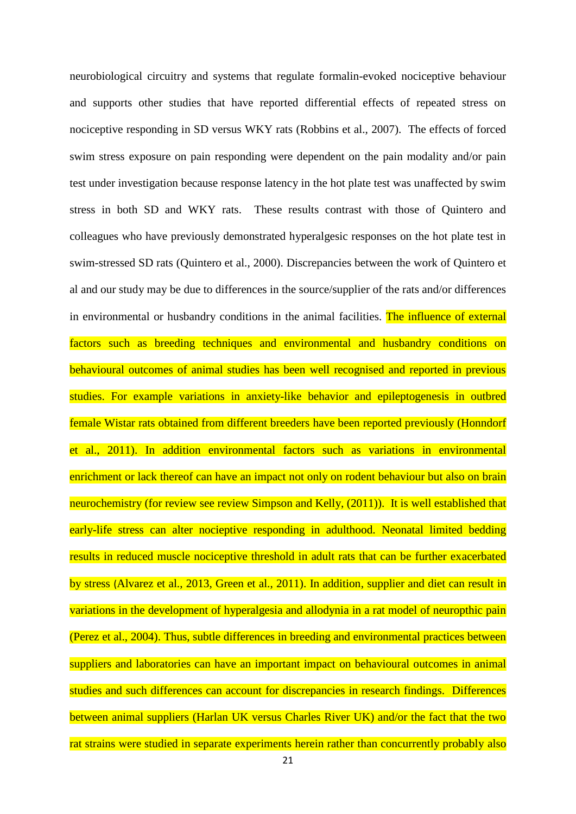neurobiological circuitry and systems that regulate formalin-evoked nociceptive behaviour and supports other studies that have reported differential effects of repeated stress on nociceptive responding in SD versus WKY rats (Robbins et al., 2007). The effects of forced swim stress exposure on pain responding were dependent on the pain modality and/or pain test under investigation because response latency in the hot plate test was unaffected by swim stress in both SD and WKY rats. These results contrast with those of Quintero and colleagues who have previously demonstrated hyperalgesic responses on the hot plate test in swim-stressed SD rats (Quintero et al., 2000). Discrepancies between the work of Quintero et al and our study may be due to differences in the source/supplier of the rats and/or differences in environmental or husbandry conditions in the animal facilities. The influence of external factors such as breeding techniques and environmental and husbandry conditions on behavioural outcomes of animal studies has been well recognised and reported in previous studies. For example variations in anxiety-like behavior and epileptogenesis in outbred female Wistar rats obtained from different breeders have been reported previously (Honndorf et al., 2011). In addition environmental factors such as variations in environmental enrichment or lack thereof can have an impact not only on rodent behaviour but also on brain neurochemistry (for review see review Simpson and Kelly, (2011)). It is well established that early-life stress can alter nocieptive responding in adulthood. Neonatal limited bedding results in reduced muscle nociceptive threshold in adult rats that can be further exacerbated by stress (Alvarez et al., 2013, Green et al., 2011). In addition, supplier and diet can result in variations in the development of hyperalgesia and allodynia in a rat model of neuropthic pain (Perez et al., 2004). Thus, subtle differences in breeding and environmental practices between suppliers and laboratories can have an important impact on behavioural outcomes in animal studies and such differences can account for discrepancies in research findings. Differences between animal suppliers (Harlan UK versus Charles River UK) and/or the fact that the two rat strains were studied in separate experiments herein rather than concurrently probably also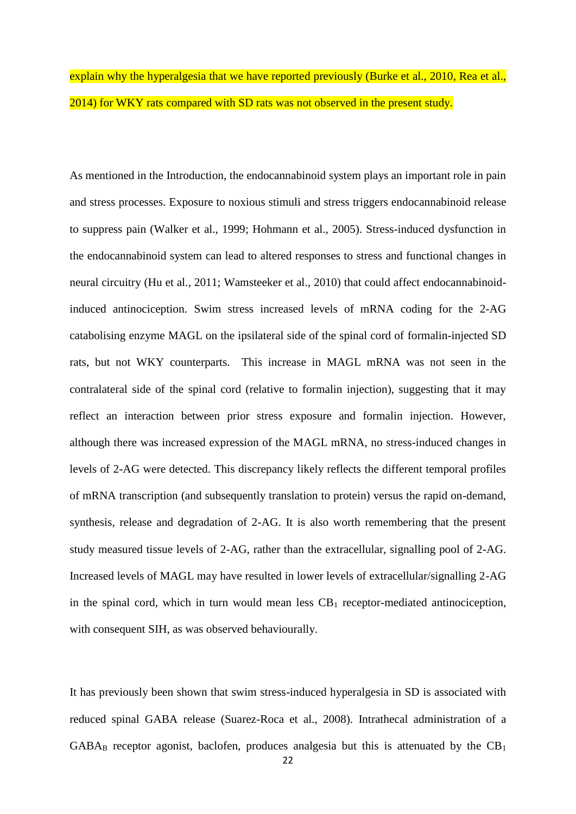# explain why the hyperalgesia that we have reported previously (Burke et al., 2010, Rea et al., 2014) for WKY rats compared with SD rats was not observed in the present study.

As mentioned in the Introduction, the endocannabinoid system plays an important role in pain and stress processes. Exposure to noxious stimuli and stress triggers endocannabinoid release to suppress pain (Walker et al., 1999; Hohmann et al., 2005). Stress-induced dysfunction in the endocannabinoid system can lead to altered responses to stress and functional changes in neural circuitry (Hu et al., 2011; Wamsteeker et al., 2010) that could affect endocannabinoidinduced antinociception. Swim stress increased levels of mRNA coding for the 2-AG catabolising enzyme MAGL on the ipsilateral side of the spinal cord of formalin-injected SD rats, but not WKY counterparts. This increase in MAGL mRNA was not seen in the contralateral side of the spinal cord (relative to formalin injection), suggesting that it may reflect an interaction between prior stress exposure and formalin injection. However, although there was increased expression of the MAGL mRNA, no stress-induced changes in levels of 2-AG were detected. This discrepancy likely reflects the different temporal profiles of mRNA transcription (and subsequently translation to protein) versus the rapid on-demand, synthesis, release and degradation of 2-AG. It is also worth remembering that the present study measured tissue levels of 2-AG, rather than the extracellular, signalling pool of 2-AG. Increased levels of MAGL may have resulted in lower levels of extracellular/signalling 2-AG in the spinal cord, which in turn would mean less  $CB_1$  receptor-mediated antinociception, with consequent SIH, as was observed behaviourally.

It has previously been shown that swim stress-induced hyperalgesia in SD is associated with reduced spinal GABA release (Suarez-Roca et al., 2008). Intrathecal administration of a  $GABA_B$  receptor agonist, baclofen, produces analgesia but this is attenuated by the  $CB_1$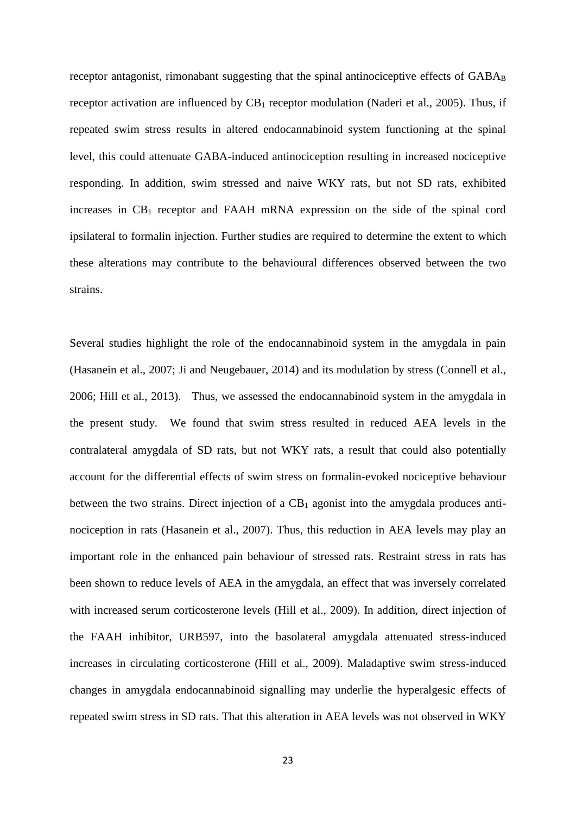receptor antagonist, rimonabant suggesting that the spinal antinociceptive effects of  $GABA_B$ receptor activation are influenced by  $CB_1$  receptor modulation (Naderi et al., 2005). Thus, if repeated swim stress results in altered endocannabinoid system functioning at the spinal level, this could attenuate GABA-induced antinociception resulting in increased nociceptive responding. In addition, swim stressed and naive WKY rats, but not SD rats, exhibited increases in  $CB_1$  receptor and FAAH mRNA expression on the side of the spinal cord ipsilateral to formalin injection. Further studies are required to determine the extent to which these alterations may contribute to the behavioural differences observed between the two strains.

Several studies highlight the role of the endocannabinoid system in the amygdala in pain (Hasanein et al., 2007; Ji and Neugebauer, 2014) and its modulation by stress (Connell et al., 2006; Hill et al., 2013). Thus, we assessed the endocannabinoid system in the amygdala in the present study. We found that swim stress resulted in reduced AEA levels in the contralateral amygdala of SD rats, but not WKY rats, a result that could also potentially account for the differential effects of swim stress on formalin-evoked nociceptive behaviour between the two strains. Direct injection of a  $CB_1$  agonist into the amygdala produces antinociception in rats (Hasanein et al., 2007). Thus, this reduction in AEA levels may play an important role in the enhanced pain behaviour of stressed rats. Restraint stress in rats has been shown to reduce levels of AEA in the amygdala, an effect that was inversely correlated with increased serum corticosterone levels (Hill et al., 2009). In addition, direct injection of the FAAH inhibitor, URB597, into the basolateral amygdala attenuated stress-induced increases in circulating corticosterone (Hill et al., 2009). Maladaptive swim stress-induced changes in amygdala endocannabinoid signalling may underlie the hyperalgesic effects of repeated swim stress in SD rats. That this alteration in AEA levels was not observed in WKY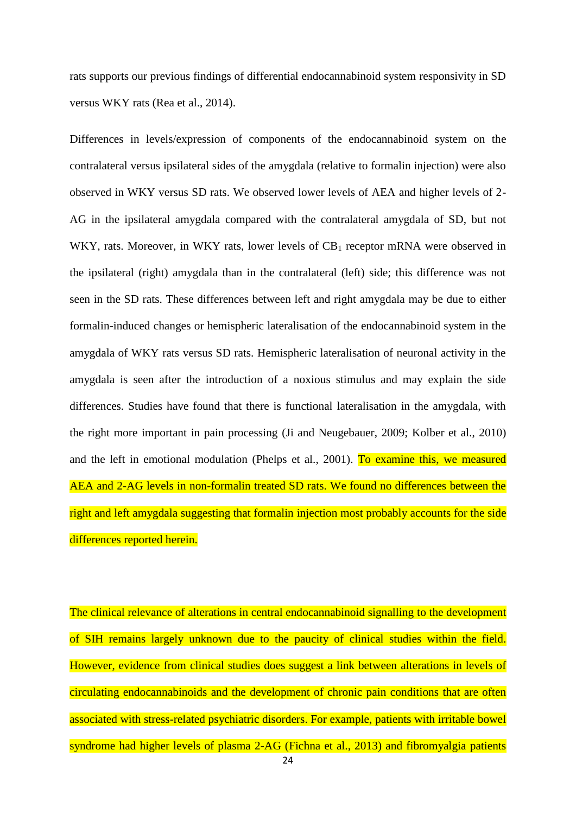rats supports our previous findings of differential endocannabinoid system responsivity in SD versus WKY rats (Rea et al., 2014).

Differences in levels/expression of components of the endocannabinoid system on the contralateral versus ipsilateral sides of the amygdala (relative to formalin injection) were also observed in WKY versus SD rats. We observed lower levels of AEA and higher levels of 2- AG in the ipsilateral amygdala compared with the contralateral amygdala of SD, but not WKY, rats. Moreover, in WKY rats, lower levels of  $CB<sub>1</sub>$  receptor mRNA were observed in the ipsilateral (right) amygdala than in the contralateral (left) side; this difference was not seen in the SD rats. These differences between left and right amygdala may be due to either formalin-induced changes or hemispheric lateralisation of the endocannabinoid system in the amygdala of WKY rats versus SD rats. Hemispheric lateralisation of neuronal activity in the amygdala is seen after the introduction of a noxious stimulus and may explain the side differences. Studies have found that there is functional lateralisation in the amygdala, with the right more important in pain processing (Ji and Neugebauer, 2009; Kolber et al., 2010) and the left in emotional modulation (Phelps et al., 2001). To examine this, we measured AEA and 2-AG levels in non-formalin treated SD rats. We found no differences between the right and left amygdala suggesting that formalin injection most probably accounts for the side differences reported herein.

The clinical relevance of alterations in central endocannabinoid signalling to the development of SIH remains largely unknown due to the paucity of clinical studies within the field. However, evidence from clinical studies does suggest a link between alterations in levels of circulating endocannabinoids and the development of chronic pain conditions that are often associated with stress-related psychiatric disorders. For example, patients with irritable bowel syndrome had higher levels of plasma 2-AG (Fichna et al., 2013) and fibromyalgia patients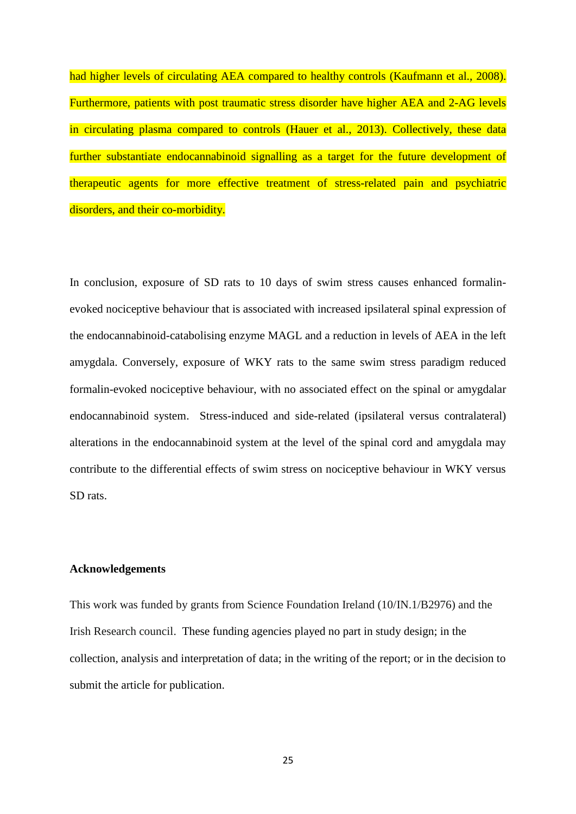had higher levels of circulating AEA compared to healthy controls (Kaufmann et al., 2008). Furthermore, patients with post traumatic stress disorder have higher AEA and 2-AG levels in circulating plasma compared to controls (Hauer et al., 2013). Collectively, these data further substantiate endocannabinoid signalling as a target for the future development of therapeutic agents for more effective treatment of stress-related pain and psychiatric disorders, and their co-morbidity.

In conclusion, exposure of SD rats to 10 days of swim stress causes enhanced formalinevoked nociceptive behaviour that is associated with increased ipsilateral spinal expression of the endocannabinoid-catabolising enzyme MAGL and a reduction in levels of AEA in the left amygdala. Conversely, exposure of WKY rats to the same swim stress paradigm reduced formalin-evoked nociceptive behaviour, with no associated effect on the spinal or amygdalar endocannabinoid system. Stress-induced and side-related (ipsilateral versus contralateral) alterations in the endocannabinoid system at the level of the spinal cord and amygdala may contribute to the differential effects of swim stress on nociceptive behaviour in WKY versus SD rats.

#### **Acknowledgements**

This work was funded by grants from Science Foundation Ireland (10/IN.1/B2976) and the Irish Research council. These funding agencies played no part in study design; in the collection, analysis and interpretation of data; in the writing of the report; or in the decision to submit the article for publication.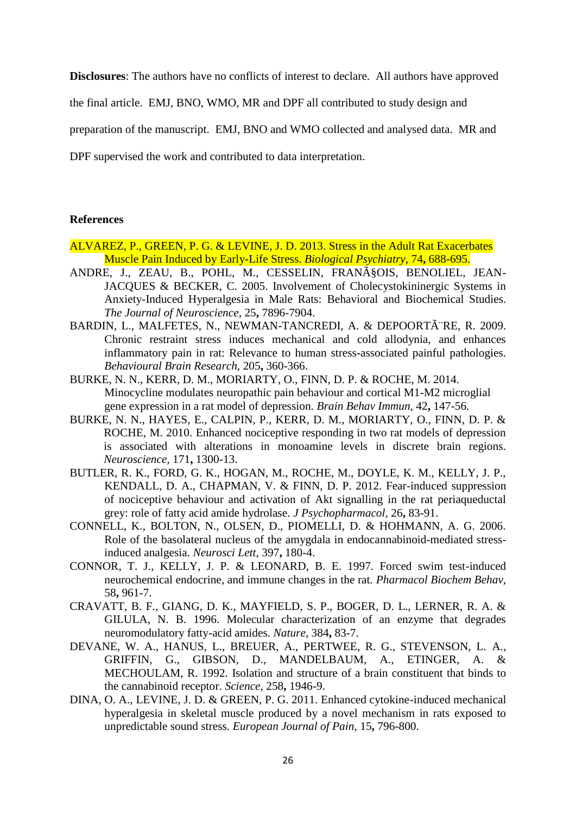**Disclosures**: The authors have no conflicts of interest to declare. All authors have approved

the final article. EMJ, BNO, WMO, MR and DPF all contributed to study design and

preparation of the manuscript. EMJ, BNO and WMO collected and analysed data. MR and

DPF supervised the work and contributed to data interpretation.

## **References**

- ALVAREZ, P., GREEN, P. G. & LEVINE, J. D. 2013. Stress in the Adult Rat Exacerbates Muscle Pain Induced by Early-Life Stress. *Biological Psychiatry,* 74**,** 688-695.
- ANDRE, J., ZEAU, B., POHL, M., CESSELIN, FRANçOIS, BENOLIEL, JEAN-JACQUES & BECKER, C. 2005. Involvement of Cholecystokininergic Systems in Anxiety-Induced Hyperalgesia in Male Rats: Behavioral and Biochemical Studies. *The Journal of Neuroscience,* 25**,** 7896-7904.
- BARDIN, L., MALFETES, N., NEWMAN-TANCREDI, A. & DEPOORTÂTE, R. 2009. Chronic restraint stress induces mechanical and cold allodynia, and enhances inflammatory pain in rat: Relevance to human stress-associated painful pathologies. *Behavioural Brain Research,* 205**,** 360-366.
- BURKE, N. N., KERR, D. M., MORIARTY, O., FINN, D. P. & ROCHE, M. 2014. Minocycline modulates neuropathic pain behaviour and cortical M1-M2 microglial gene expression in a rat model of depression. *Brain Behav Immun,* 42**,** 147-56.
- BURKE, N. N., HAYES, E., CALPIN, P., KERR, D. M., MORIARTY, O., FINN, D. P. & ROCHE, M. 2010. Enhanced nociceptive responding in two rat models of depression is associated with alterations in monoamine levels in discrete brain regions. *Neuroscience,* 171**,** 1300-13.
- BUTLER, R. K., FORD, G. K., HOGAN, M., ROCHE, M., DOYLE, K. M., KELLY, J. P., KENDALL, D. A., CHAPMAN, V. & FINN, D. P. 2012. Fear-induced suppression of nociceptive behaviour and activation of Akt signalling in the rat periaqueductal grey: role of fatty acid amide hydrolase. *J Psychopharmacol,* 26**,** 83-91.
- CONNELL, K., BOLTON, N., OLSEN, D., PIOMELLI, D. & HOHMANN, A. G. 2006. Role of the basolateral nucleus of the amygdala in endocannabinoid-mediated stressinduced analgesia. *Neurosci Lett,* 397**,** 180-4.
- CONNOR, T. J., KELLY, J. P. & LEONARD, B. E. 1997. Forced swim test-induced neurochemical endocrine, and immune changes in the rat. *Pharmacol Biochem Behav,* 58**,** 961-7.
- CRAVATT, B. F., GIANG, D. K., MAYFIELD, S. P., BOGER, D. L., LERNER, R. A. & GILULA, N. B. 1996. Molecular characterization of an enzyme that degrades neuromodulatory fatty-acid amides. *Nature,* 384**,** 83-7.
- DEVANE, W. A., HANUS, L., BREUER, A., PERTWEE, R. G., STEVENSON, L. A., GRIFFIN, G., GIBSON, D., MANDELBAUM, A., ETINGER, A. & MECHOULAM, R. 1992. Isolation and structure of a brain constituent that binds to the cannabinoid receptor. *Science,* 258**,** 1946-9.
- DINA, O. A., LEVINE, J. D. & GREEN, P. G. 2011. Enhanced cytokine-induced mechanical hyperalgesia in skeletal muscle produced by a novel mechanism in rats exposed to unpredictable sound stress. *European Journal of Pain,* 15**,** 796-800.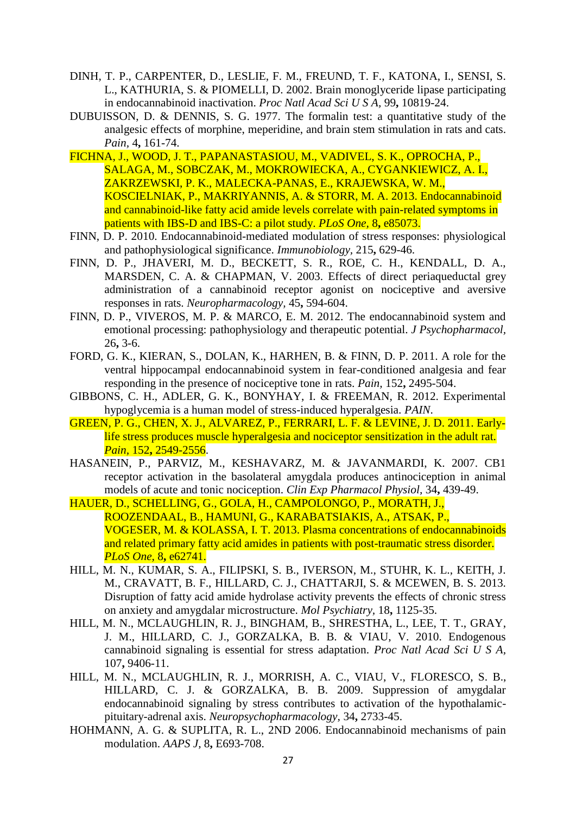- DINH, T. P., CARPENTER, D., LESLIE, F. M., FREUND, T. F., KATONA, I., SENSI, S. L., KATHURIA, S. & PIOMELLI, D. 2002. Brain monoglyceride lipase participating in endocannabinoid inactivation. *Proc Natl Acad Sci U S A,* 99**,** 10819-24.
- DUBUISSON, D. & DENNIS, S. G. 1977. The formalin test: a quantitative study of the analgesic effects of morphine, meperidine, and brain stem stimulation in rats and cats. *Pain,* 4**,** 161-74.
- FICHNA, J., WOOD, J. T., PAPANASTASIOU, M., VADIVEL, S. K., OPROCHA, P., SALAGA, M., SOBCZAK, M., MOKROWIECKA, A., CYGANKIEWICZ, A. I., ZAKRZEWSKI, P. K., MALECKA-PANAS, E., KRAJEWSKA, W. M., KOSCIELNIAK, P., MAKRIYANNIS, A. & STORR, M. A. 2013. Endocannabinoid and cannabinoid-like fatty acid amide levels correlate with pain-related symptoms in patients with IBS-D and IBS-C: a pilot study. *PLoS One,* 8**,** e85073.
- FINN, D. P. 2010. Endocannabinoid-mediated modulation of stress responses: physiological and pathophysiological significance. *Immunobiology,* 215**,** 629-46.
- FINN, D. P., JHAVERI, M. D., BECKETT, S. R., ROE, C. H., KENDALL, D. A., MARSDEN, C. A. & CHAPMAN, V. 2003. Effects of direct periaqueductal grey administration of a cannabinoid receptor agonist on nociceptive and aversive responses in rats. *Neuropharmacology,* 45**,** 594-604.
- FINN, D. P., VIVEROS, M. P. & MARCO, E. M. 2012. The endocannabinoid system and emotional processing: pathophysiology and therapeutic potential. *J Psychopharmacol,* 26**,** 3-6.
- FORD, G. K., KIERAN, S., DOLAN, K., HARHEN, B. & FINN, D. P. 2011. A role for the ventral hippocampal endocannabinoid system in fear-conditioned analgesia and fear responding in the presence of nociceptive tone in rats. *Pain,* 152**,** 2495-504.
- GIBBONS, C. H., ADLER, G. K., BONYHAY, I. & FREEMAN, R. 2012. Experimental hypoglycemia is a human model of stress-induced hyperalgesia. *PAIN*.
- GREEN, P. G., CHEN, X. J., ALVAREZ, P., FERRARI, L. F. & LEVINE, J. D. 2011. Earlylife stress produces muscle hyperalgesia and nociceptor sensitization in the adult rat. *Pain,* 152**,** 2549-2556.
- HASANEIN, P., PARVIZ, M., KESHAVARZ, M. & JAVANMARDI, K. 2007. CB1 receptor activation in the basolateral amygdala produces antinociception in animal models of acute and tonic nociception. *Clin Exp Pharmacol Physiol,* 34**,** 439-49.
- HAUER, D., SCHELLING, G., GOLA, H., CAMPOLONGO, P., MORATH, J., ROOZENDAAL, B., HAMUNI, G., KARABATSIAKIS, A., ATSAK, P., VOGESER, M. & KOLASSA, I. T. 2013. Plasma concentrations of endocannabinoids and related primary fatty acid amides in patients with post-traumatic stress disorder. *PLoS One,* 8**,** e62741.
- HILL, M. N., KUMAR, S. A., FILIPSKI, S. B., IVERSON, M., STUHR, K. L., KEITH, J. M., CRAVATT, B. F., HILLARD, C. J., CHATTARJI, S. & MCEWEN, B. S. 2013. Disruption of fatty acid amide hydrolase activity prevents the effects of chronic stress on anxiety and amygdalar microstructure. *Mol Psychiatry,* 18**,** 1125-35.
- HILL, M. N., MCLAUGHLIN, R. J., BINGHAM, B., SHRESTHA, L., LEE, T. T., GRAY, J. M., HILLARD, C. J., GORZALKA, B. B. & VIAU, V. 2010. Endogenous cannabinoid signaling is essential for stress adaptation. *Proc Natl Acad Sci U S A,* 107**,** 9406-11.
- HILL, M. N., MCLAUGHLIN, R. J., MORRISH, A. C., VIAU, V., FLORESCO, S. B., HILLARD, C. J. & GORZALKA, B. B. 2009. Suppression of amygdalar endocannabinoid signaling by stress contributes to activation of the hypothalamicpituitary-adrenal axis. *Neuropsychopharmacology,* 34**,** 2733-45.
- HOHMANN, A. G. & SUPLITA, R. L., 2ND 2006. Endocannabinoid mechanisms of pain modulation. *AAPS J,* 8**,** E693-708.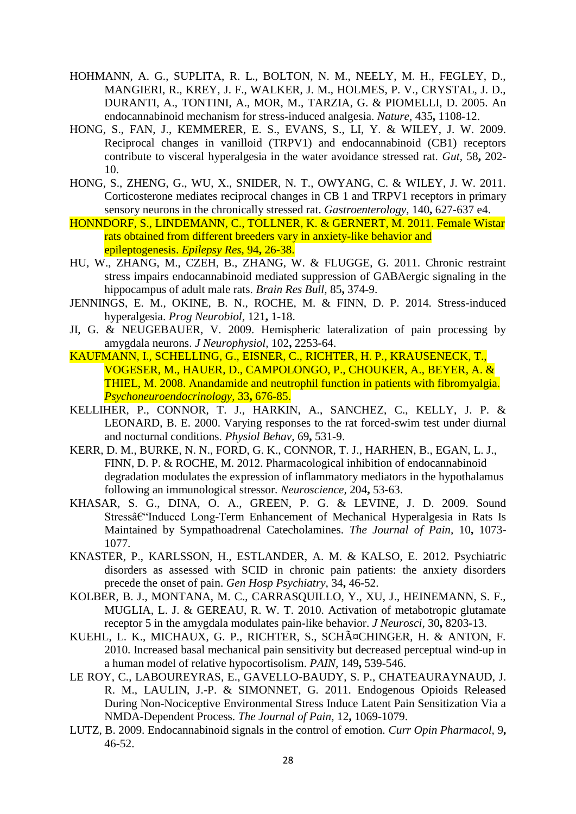- HOHMANN, A. G., SUPLITA, R. L., BOLTON, N. M., NEELY, M. H., FEGLEY, D., MANGIERI, R., KREY, J. F., WALKER, J. M., HOLMES, P. V., CRYSTAL, J. D., DURANTI, A., TONTINI, A., MOR, M., TARZIA, G. & PIOMELLI, D. 2005. An endocannabinoid mechanism for stress-induced analgesia. *Nature,* 435**,** 1108-12.
- HONG, S., FAN, J., KEMMERER, E. S., EVANS, S., LI, Y. & WILEY, J. W. 2009. Reciprocal changes in vanilloid (TRPV1) and endocannabinoid (CB1) receptors contribute to visceral hyperalgesia in the water avoidance stressed rat. *Gut,* 58**,** 202- 10.
- HONG, S., ZHENG, G., WU, X., SNIDER, N. T., OWYANG, C. & WILEY, J. W. 2011. Corticosterone mediates reciprocal changes in CB 1 and TRPV1 receptors in primary sensory neurons in the chronically stressed rat. *Gastroenterology,* 140**,** 627-637 e4.
- HONNDORF, S., LINDEMANN, C., TOLLNER, K. & GERNERT, M. 2011. Female Wistar rats obtained from different breeders vary in anxiety-like behavior and epileptogenesis. *Epilepsy Res,* 94**,** 26-38.
- HU, W., ZHANG, M., CZEH, B., ZHANG, W. & FLUGGE, G. 2011. Chronic restraint stress impairs endocannabinoid mediated suppression of GABAergic signaling in the hippocampus of adult male rats. *Brain Res Bull,* 85**,** 374-9.
- JENNINGS, E. M., OKINE, B. N., ROCHE, M. & FINN, D. P. 2014. Stress-induced hyperalgesia. *Prog Neurobiol,* 121**,** 1-18.
- JI, G. & NEUGEBAUER, V. 2009. Hemispheric lateralization of pain processing by amygdala neurons. *J Neurophysiol,* 102**,** 2253-64.
- KAUFMANN, I., SCHELLING, G., EISNER, C., RICHTER, H. P., KRAUSENECK, T., VOGESER, M., HAUER, D., CAMPOLONGO, P., CHOUKER, A., BEYER, A. & THIEL, M. 2008. Anandamide and neutrophil function in patients with fibromyalgia. *Psychoneuroendocrinology,* 33**,** 676-85.
- KELLIHER, P., CONNOR, T. J., HARKIN, A., SANCHEZ, C., KELLY, J. P. & LEONARD, B. E. 2000. Varying responses to the rat forced-swim test under diurnal and nocturnal conditions. *Physiol Behav,* 69**,** 531-9.
- KERR, D. M., BURKE, N. N., FORD, G. K., CONNOR, T. J., HARHEN, B., EGAN, L. J., FINN, D. P. & ROCHE, M. 2012. Pharmacological inhibition of endocannabinoid degradation modulates the expression of inflammatory mediators in the hypothalamus following an immunological stressor. *Neuroscience,* 204**,** 53-63.
- KHASAR, S. G., DINA, O. A., GREEN, P. G. & LEVINE, J. D. 2009. Sound Stress–Induced Long-Term Enhancement of Mechanical Hyperalgesia in Rats Is Maintained by Sympathoadrenal Catecholamines. *The Journal of Pain,* 10**,** 1073- 1077.
- KNASTER, P., KARLSSON, H., ESTLANDER, A. M. & KALSO, E. 2012. Psychiatric disorders as assessed with SCID in chronic pain patients: the anxiety disorders precede the onset of pain. *Gen Hosp Psychiatry,* 34**,** 46-52.
- KOLBER, B. J., MONTANA, M. C., CARRASQUILLO, Y., XU, J., HEINEMANN, S. F., MUGLIA, L. J. & GEREAU, R. W. T. 2010. Activation of metabotropic glutamate receptor 5 in the amygdala modulates pain-like behavior. *J Neurosci,* 30**,** 8203-13.
- KUEHL, L. K., MICHAUX, G. P., RICHTER, S., SCHäCHINGER, H. & ANTON, F. 2010. Increased basal mechanical pain sensitivity but decreased perceptual wind-up in a human model of relative hypocortisolism. *PAIN,* 149**,** 539-546.
- LE ROY, C., LABOUREYRAS, E., GAVELLO-BAUDY, S. P., CHATEAURAYNAUD, J. R. M., LAULIN, J.-P. & SIMONNET, G. 2011. Endogenous Opioids Released During Non-Nociceptive Environmental Stress Induce Latent Pain Sensitization Via a NMDA-Dependent Process. *The Journal of Pain,* 12**,** 1069-1079.
- LUTZ, B. 2009. Endocannabinoid signals in the control of emotion. *Curr Opin Pharmacol,* 9**,** 46-52.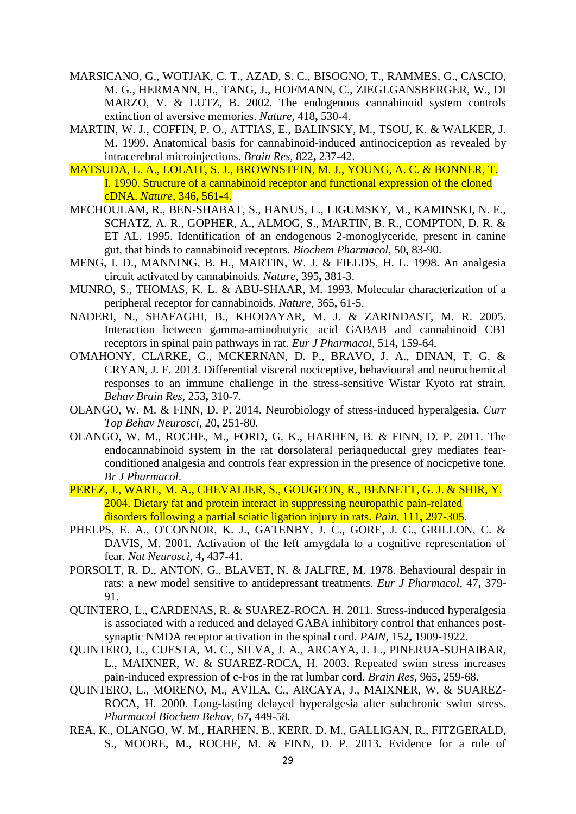- MARSICANO, G., WOTJAK, C. T., AZAD, S. C., BISOGNO, T., RAMMES, G., CASCIO, M. G., HERMANN, H., TANG, J., HOFMANN, C., ZIEGLGANSBERGER, W., DI MARZO, V. & LUTZ, B. 2002. The endogenous cannabinoid system controls extinction of aversive memories. *Nature,* 418**,** 530-4.
- MARTIN, W. J., COFFIN, P. O., ATTIAS, E., BALINSKY, M., TSOU, K. & WALKER, J. M. 1999. Anatomical basis for cannabinoid-induced antinociception as revealed by intracerebral microinjections. *Brain Res,* 822**,** 237-42.
- MATSUDA, L. A., LOLAIT, S. J., BROWNSTEIN, M. J., YOUNG, A. C. & BONNER, T. I. 1990. Structure of a cannabinoid receptor and functional expression of the cloned cDNA. *Nature,* 346**,** 561-4.
- MECHOULAM, R., BEN-SHABAT, S., HANUS, L., LIGUMSKY, M., KAMINSKI, N. E., SCHATZ, A. R., GOPHER, A., ALMOG, S., MARTIN, B. R., COMPTON, D. R. & ET AL. 1995. Identification of an endogenous 2-monoglyceride, present in canine gut, that binds to cannabinoid receptors. *Biochem Pharmacol,* 50**,** 83-90.
- MENG, I. D., MANNING, B. H., MARTIN, W. J. & FIELDS, H. L. 1998. An analgesia circuit activated by cannabinoids. *Nature,* 395**,** 381-3.
- MUNRO, S., THOMAS, K. L. & ABU-SHAAR, M. 1993. Molecular characterization of a peripheral receptor for cannabinoids. *Nature,* 365**,** 61-5.
- NADERI, N., SHAFAGHI, B., KHODAYAR, M. J. & ZARINDAST, M. R. 2005. Interaction between gamma-aminobutyric acid GABAB and cannabinoid CB1 receptors in spinal pain pathways in rat. *Eur J Pharmacol,* 514**,** 159-64.
- O'MAHONY, CLARKE, G., MCKERNAN, D. P., BRAVO, J. A., DINAN, T. G. & CRYAN, J. F. 2013. Differential visceral nociceptive, behavioural and neurochemical responses to an immune challenge in the stress-sensitive Wistar Kyoto rat strain. *Behav Brain Res,* 253**,** 310-7.
- OLANGO, W. M. & FINN, D. P. 2014. Neurobiology of stress-induced hyperalgesia. *Curr Top Behav Neurosci,* 20**,** 251-80.
- OLANGO, W. M., ROCHE, M., FORD, G. K., HARHEN, B. & FINN, D. P. 2011. The endocannabinoid system in the rat dorsolateral periaqueductal grey mediates fearconditioned analgesia and controls fear expression in the presence of nocicpetive tone. *Br J Pharmacol*.
- PEREZ, J., WARE, M. A., CHEVALIER, S., GOUGEON, R., BENNETT, G. J. & SHIR, Y. 2004. Dietary fat and protein interact in suppressing neuropathic pain-related disorders following a partial sciatic ligation injury in rats. *Pain,* 111**,** 297-305.
- PHELPS, E. A., O'CONNOR, K. J., GATENBY, J. C., GORE, J. C., GRILLON, C. & DAVIS, M. 2001. Activation of the left amygdala to a cognitive representation of fear. *Nat Neurosci,* 4**,** 437-41.
- PORSOLT, R. D., ANTON, G., BLAVET, N. & JALFRE, M. 1978. Behavioural despair in rats: a new model sensitive to antidepressant treatments. *Eur J Pharmacol,* 47**,** 379- 91.
- QUINTERO, L., CARDENAS, R. & SUAREZ-ROCA, H. 2011. Stress-induced hyperalgesia is associated with a reduced and delayed GABA inhibitory control that enhances postsynaptic NMDA receptor activation in the spinal cord. *PAIN,* 152**,** 1909-1922.
- QUINTERO, L., CUESTA, M. C., SILVA, J. A., ARCAYA, J. L., PINERUA-SUHAIBAR, L., MAIXNER, W. & SUAREZ-ROCA, H. 2003. Repeated swim stress increases pain-induced expression of c-Fos in the rat lumbar cord. *Brain Res,* 965**,** 259-68.
- QUINTERO, L., MORENO, M., AVILA, C., ARCAYA, J., MAIXNER, W. & SUAREZ-ROCA, H. 2000. Long-lasting delayed hyperalgesia after subchronic swim stress. *Pharmacol Biochem Behav,* 67**,** 449-58.
- REA, K., OLANGO, W. M., HARHEN, B., KERR, D. M., GALLIGAN, R., FITZGERALD, S., MOORE, M., ROCHE, M. & FINN, D. P. 2013. Evidence for a role of